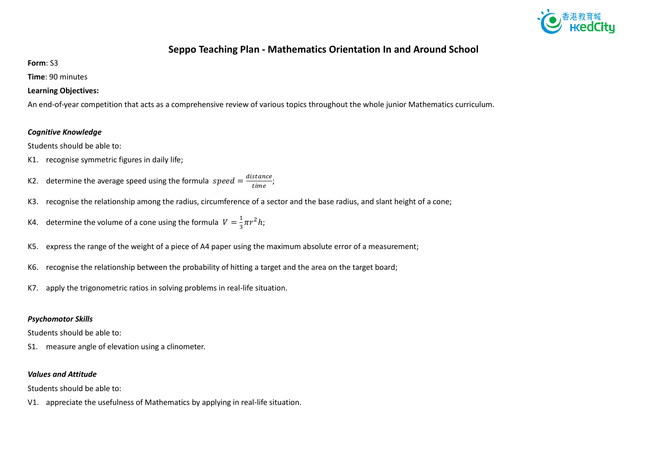

## **Seppo Teaching Plan - Mathematics Orientation In and Around School**

**Form**: S3

**Time**: 90 minutes

### **Learning Objectives:**

An end-of-year competition that acts as a comprehensive review of various topics throughout the whole junior Mathematics curriculum.

### *Cognitive Knowledge*

Students should be able to:

- K1. recognise symmetric figures in daily life;
- K2. determine the average speed using the formula  $speed = \frac{distance}{time}$ ;
- K3. recognise the relationship among the radius, circumference of a sector and the base radius, and slant height of a cone;
- K4. determine the volume of a cone using the formula  $V=\frac{1}{2}$  $rac{1}{3}\pi r^2 h$ ;
- K5. express the range of the weight of a piece of A4 paper using the maximum absolute error of a measurement;
- K6. recognise the relationship between the probability of hitting a target and the area on the target board;
- K7. apply the trigonometric ratios in solving problems in real-life situation.

#### *Psychomotor Skills*

Students should be able to:

S1. measure angle of elevation using a clinometer.

#### *Values and Attitude*

Students should be able to:

V1. appreciate the usefulness of Mathematics by applying in real-life situation.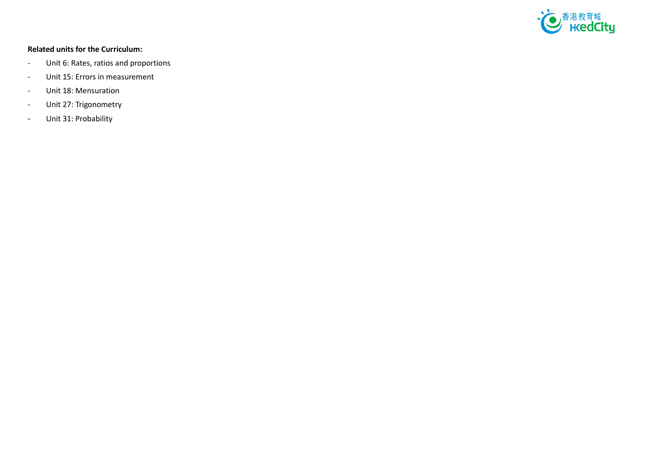

### **Related units for the Curriculum:**

- Unit 6: Rates, ratios and proportions
- Unit 15: Errors in measurement
- Unit 18: Mensuration
- Unit 27: Trigonometry
- Unit 31: Probability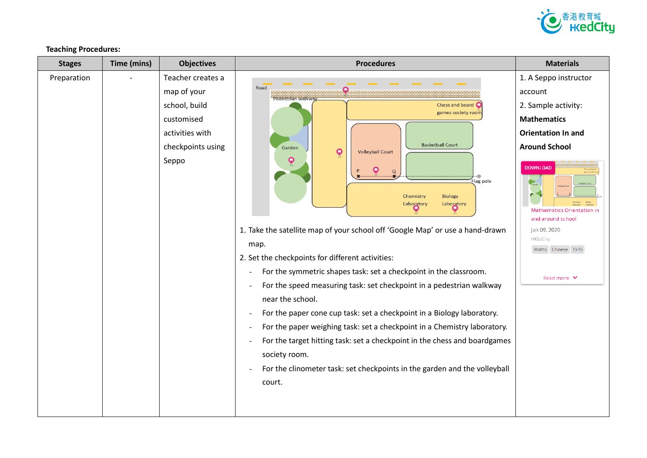

**Teaching Procedures:**

| <b>Stages</b> | Time (mins) | <b>Objectives</b>                                                                                                | <b>Procedures</b>                                                                                                                                                                                                                                                                                                                                                                                                                                                                                                                                                                                                                                                                                                                                                                                                                                                                                                          | <b>Materials</b>                                                                                                                                                                                                                                                                         |
|---------------|-------------|------------------------------------------------------------------------------------------------------------------|----------------------------------------------------------------------------------------------------------------------------------------------------------------------------------------------------------------------------------------------------------------------------------------------------------------------------------------------------------------------------------------------------------------------------------------------------------------------------------------------------------------------------------------------------------------------------------------------------------------------------------------------------------------------------------------------------------------------------------------------------------------------------------------------------------------------------------------------------------------------------------------------------------------------------|------------------------------------------------------------------------------------------------------------------------------------------------------------------------------------------------------------------------------------------------------------------------------------------|
| Preparation   |             | Teacher creates a<br>map of your<br>school, build<br>customised<br>activities with<br>checkpoints using<br>Seppo | Road<br>Pedestrian walkwa<br>Chess and board<br>games society roon<br><b>Basketball Court</b><br>Garden<br>$\boldsymbol{\mathsf Q}$<br><b>Volleyball Court</b><br>Q<br>$\alpha$<br>lag pole<br>Chemistry<br><b>Biology</b><br>Laboratory<br>Laboratory<br>1. Take the satellite map of your school off 'Google Map' or use a hand-drawn<br>map.<br>2. Set the checkpoints for different activities:<br>For the symmetric shapes task: set a checkpoint in the classroom.<br>For the speed measuring task: set checkpoint in a pedestrian walkway<br>near the school.<br>For the paper cone cup task: set a checkpoint in a Biology laboratory.<br>For the paper weighing task: set a checkpoint in a Chemistry laboratory.<br>÷<br>For the target hitting task: set a checkpoint in the chess and boardgames<br>L,<br>society room.<br>For the clinometer task: set checkpoints in the garden and the volleyball<br>court. | 1. A Seppo instructor<br>account<br>2. Sample activity:<br><b>Mathematics</b><br><b>Orientation In and</b><br><b>Around School</b><br><b>DOWNLOAD</b><br><b>Mathematics Orientation in</b><br>and around school<br>Jan 09, 2020<br><b>HKEdCity</b><br>Maths Chinese 13-15<br>Read more ∨ |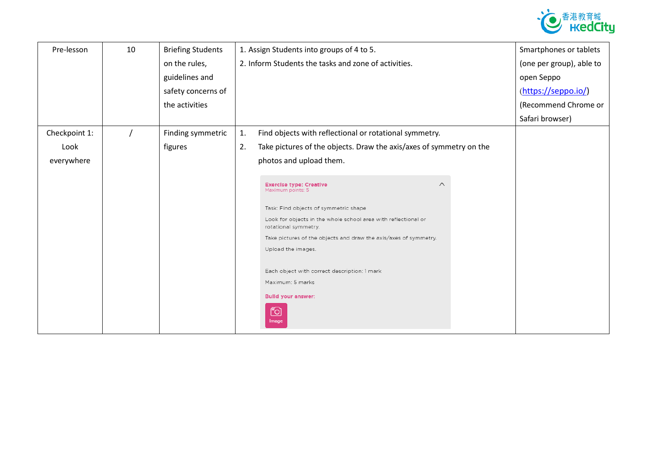

| Pre-lesson    | 10 | <b>Briefing Students</b> |    | 1. Assign Students into groups of 4 to 5.                                                                                            | Smartphones or tablets   |
|---------------|----|--------------------------|----|--------------------------------------------------------------------------------------------------------------------------------------|--------------------------|
|               |    | on the rules,            |    | 2. Inform Students the tasks and zone of activities.                                                                                 | (one per group), able to |
|               |    | guidelines and           |    |                                                                                                                                      | open Seppo               |
|               |    | safety concerns of       |    |                                                                                                                                      | (https://seppo.io/)      |
|               |    | the activities           |    |                                                                                                                                      | (Recommend Chrome or     |
|               |    |                          |    |                                                                                                                                      | Safari browser)          |
| Checkpoint 1: |    | Finding symmetric        | 1. | Find objects with reflectional or rotational symmetry.                                                                               |                          |
| Look          |    | figures                  | 2. | Take pictures of the objects. Draw the axis/axes of symmetry on the                                                                  |                          |
| everywhere    |    |                          |    | photos and upload them.                                                                                                              |                          |
|               |    |                          |    |                                                                                                                                      |                          |
|               |    |                          |    | <b>Exercise type: Creative</b><br>$\wedge$<br>Maximum points: 5                                                                      |                          |
|               |    |                          |    |                                                                                                                                      |                          |
|               |    |                          |    |                                                                                                                                      |                          |
|               |    |                          |    | rotational symmetry.                                                                                                                 |                          |
|               |    |                          |    | Take pictures of the objects and draw the axis/axes of symmetry.                                                                     |                          |
|               |    |                          |    |                                                                                                                                      |                          |
|               |    |                          |    | Each object with correct description: 1 mark                                                                                         |                          |
|               |    |                          |    | Maximum: 5 marks                                                                                                                     |                          |
|               |    |                          |    | <b>Bulld your answer:</b>                                                                                                            |                          |
|               |    |                          |    |                                                                                                                                      |                          |
|               |    |                          |    | Image                                                                                                                                |                          |
|               |    |                          |    | Task: Find objects of symmetric shape<br>Look for objects in the whole school area with reflectional or<br>Upload the images.<br>෦ඁ෮ |                          |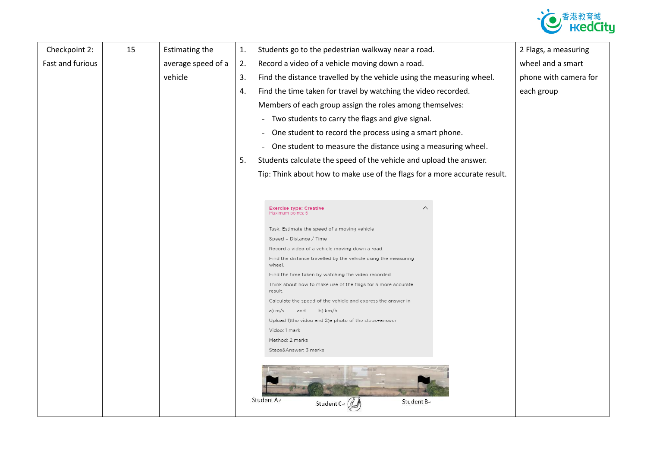

| Checkpoint 2:    | 15 | <b>Estimating the</b> | $\mathbf{1}$ . | Students go to the pedestrian walkway near a road.                             | 2 Flags, a measuring  |
|------------------|----|-----------------------|----------------|--------------------------------------------------------------------------------|-----------------------|
| Fast and furious |    | average speed of a    | 2.             | Record a video of a vehicle moving down a road.                                | wheel and a smart     |
|                  |    | vehicle               | 3.             | Find the distance travelled by the vehicle using the measuring wheel.          | phone with camera for |
|                  |    |                       | 4.             | Find the time taken for travel by watching the video recorded.                 | each group            |
|                  |    |                       |                | Members of each group assign the roles among themselves:                       |                       |
|                  |    |                       |                | Two students to carry the flags and give signal.<br>$\equiv$                   |                       |
|                  |    |                       |                |                                                                                |                       |
|                  |    |                       |                | One student to record the process using a smart phone.<br>$\blacksquare$       |                       |
|                  |    |                       |                | One student to measure the distance using a measuring wheel.<br>$\blacksquare$ |                       |
|                  |    |                       | 5.             | Students calculate the speed of the vehicle and upload the answer.             |                       |
|                  |    |                       |                | Tip: Think about how to make use of the flags for a more accurate result.      |                       |
|                  |    |                       |                |                                                                                |                       |
|                  |    |                       |                |                                                                                |                       |
|                  |    |                       |                | $\wedge$<br><b>Exercise type: Creative</b><br>Maximum points: 6                |                       |
|                  |    |                       |                | Task: Estimate the speed of a moving vehicle                                   |                       |
|                  |    |                       |                | Speed = $Distance / Time$                                                      |                       |
|                  |    |                       |                | Record a video of a vehicle moving down a road.                                |                       |
|                  |    |                       |                | Find the distance travelled by the vehicle using the measuring<br>wheel.       |                       |
|                  |    |                       |                | Find the time taken by watching the video recorded.                            |                       |
|                  |    |                       |                | Think about how to make use of the flags for a more accurate<br>result.        |                       |
|                  |    |                       |                | Calculate the speed of the vehicle and express the answer in                   |                       |
|                  |    |                       |                | b) km/h<br>a) m/s<br>and                                                       |                       |
|                  |    |                       |                | Upload 1) the video and 2) a photo of the steps+answer                         |                       |
|                  |    |                       |                | Video: 1 mark<br>Method: 2 marks                                               |                       |
|                  |    |                       |                | Steps&Answer: 3 marks                                                          |                       |
|                  |    |                       |                |                                                                                |                       |
|                  |    |                       |                | Student A+<br>Student Be<br>Student $C \in \mathbb{C}$                         |                       |
|                  |    |                       |                |                                                                                |                       |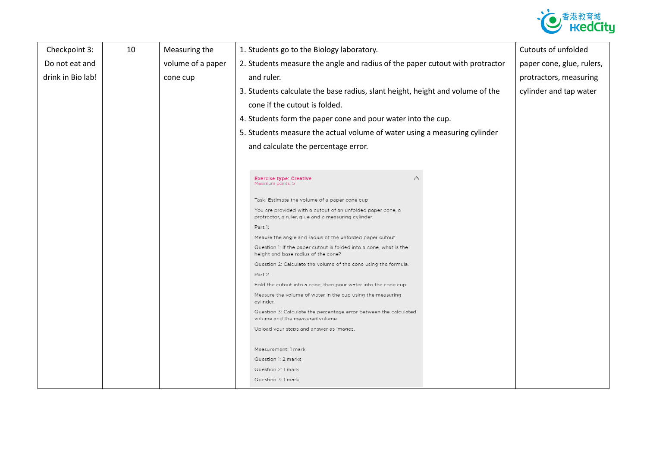

| Checkpoint 3:     | 10 | Measuring the     | 1. Students go to the Biology laboratory.                                                                          | Cutouts of unfolded       |
|-------------------|----|-------------------|--------------------------------------------------------------------------------------------------------------------|---------------------------|
| Do not eat and    |    | volume of a paper | 2. Students measure the angle and radius of the paper cutout with protractor                                       | paper cone, glue, rulers, |
| drink in Bio lab! |    | cone cup          | and ruler.                                                                                                         | protractors, measuring    |
|                   |    |                   | 3. Students calculate the base radius, slant height, height and volume of the                                      | cylinder and tap water    |
|                   |    |                   | cone if the cutout is folded.                                                                                      |                           |
|                   |    |                   | 4. Students form the paper cone and pour water into the cup.                                                       |                           |
|                   |    |                   |                                                                                                                    |                           |
|                   |    |                   | 5. Students measure the actual volume of water using a measuring cylinder                                          |                           |
|                   |    |                   | and calculate the percentage error.                                                                                |                           |
|                   |    |                   |                                                                                                                    |                           |
|                   |    |                   | $\wedge$<br><b>Exercise type: Creative</b>                                                                         |                           |
|                   |    |                   | Maximum points: 5                                                                                                  |                           |
|                   |    |                   | Task: Estimate the volume of a paper cone cup                                                                      |                           |
|                   |    |                   | You are provided with a cutout of an unfolded paper cone, a<br>protractor, a ruler, glue and a measuring cylinder. |                           |
|                   |    |                   | Part 1:                                                                                                            |                           |
|                   |    |                   | Meaure the angle and radius of the unfolded paper cutout.                                                          |                           |
|                   |    |                   | Question 1: If the paper cutout is folded into a cone, what is the<br>height and base radius of the cone?          |                           |
|                   |    |                   | Question 2: Calculate the volume of the cone using the formula.                                                    |                           |
|                   |    |                   | Part 2:                                                                                                            |                           |
|                   |    |                   | Fold the cutout into a cone, then pour water into the cone cup.                                                    |                           |
|                   |    |                   | Measure the volume of water in the cup using the measuring<br>cylinder.                                            |                           |
|                   |    |                   | Question 3: Calculate the percentage error between the calculated<br>volume and the measured volume.               |                           |
|                   |    |                   | Upload your steps and answer as images.                                                                            |                           |
|                   |    |                   |                                                                                                                    |                           |
|                   |    |                   | Measurement: 1 mark                                                                                                |                           |
|                   |    |                   | Question 1: 2 marks                                                                                                |                           |
|                   |    |                   | Question 2: 1 mark                                                                                                 |                           |
|                   |    |                   | Question 3: 1 mark                                                                                                 |                           |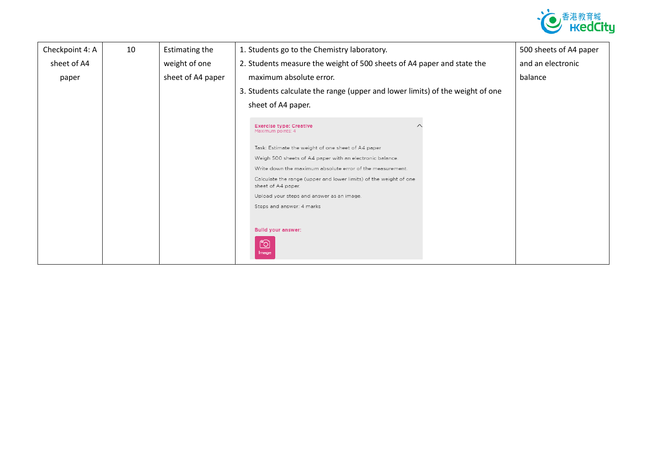

| Checkpoint 4: A | 10 | Estimating the    | 1. Students go to the Chemistry laboratory.                                             | 500 sheets of A4 paper |
|-----------------|----|-------------------|-----------------------------------------------------------------------------------------|------------------------|
| sheet of A4     |    | weight of one     | 2. Students measure the weight of 500 sheets of A4 paper and state the                  | and an electronic      |
| paper           |    | sheet of A4 paper | maximum absolute error.                                                                 | balance                |
|                 |    |                   | 3. Students calculate the range (upper and lower limits) of the weight of one           |                        |
|                 |    |                   | sheet of A4 paper.                                                                      |                        |
|                 |    |                   | <b>Exercise type: Creative</b><br>Maximum points: 4                                     |                        |
|                 |    |                   | Task: Estimate the weight of one sheet of A4 paper                                      |                        |
|                 |    |                   | Weigh 500 sheets of A4 paper with an electronic balance.                                |                        |
|                 |    |                   | Write down the maximum absolute error of the measurement.                               |                        |
|                 |    |                   | Calculate the range (upper and lower limits) of the weight of one<br>sheet of A4 paper. |                        |
|                 |    |                   | Upload your steps and answer as an image.                                               |                        |
|                 |    |                   | Steps and answer: 4 marks                                                               |                        |
|                 |    |                   | <b>Bulld your answer:</b><br><u>fo</u><br>Image                                         |                        |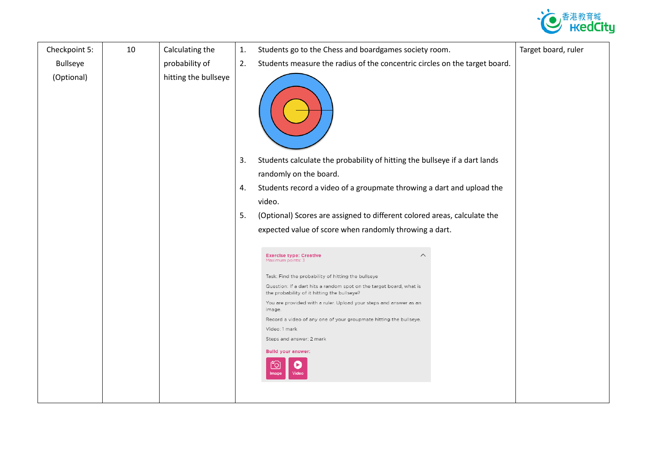

| Checkpoint 5:   | 10 | Calculating the      | 1. | Students go to the Chess and boardgames society room.                                                              | Target board, ruler |
|-----------------|----|----------------------|----|--------------------------------------------------------------------------------------------------------------------|---------------------|
| <b>Bullseye</b> |    | probability of       | 2. | Students measure the radius of the concentric circles on the target board.                                         |                     |
| (Optional)      |    | hitting the bullseye |    |                                                                                                                    |                     |
|                 |    |                      | 3. | Students calculate the probability of hitting the bullseye if a dart lands<br>randomly on the board.               |                     |
|                 |    |                      | 4. | Students record a video of a groupmate throwing a dart and upload the                                              |                     |
|                 |    |                      |    | video.                                                                                                             |                     |
|                 |    |                      | 5. | (Optional) Scores are assigned to different colored areas, calculate the                                           |                     |
|                 |    |                      |    | expected value of score when randomly throwing a dart.                                                             |                     |
|                 |    |                      |    |                                                                                                                    |                     |
|                 |    |                      |    | $\wedge$<br><b>Exercise type: Creative</b><br>Maximum points: 3                                                    |                     |
|                 |    |                      |    | Task: Find the probability of hitting the bullseye                                                                 |                     |
|                 |    |                      |    | Question: If a dart hits a random spot on the target board, what is<br>the probability of it hitting the bullseye? |                     |
|                 |    |                      |    | You are provided with a ruler. Upload your steps and answer as an<br>image                                         |                     |
|                 |    |                      |    | Record a video of any one of your groupmate hitting the bullseye.                                                  |                     |
|                 |    |                      |    | Video: 1 mark                                                                                                      |                     |
|                 |    |                      |    | Steps and answer: 2 mark                                                                                           |                     |
|                 |    |                      |    | <b>Build your answer:</b><br>Video                                                                                 |                     |
|                 |    |                      |    |                                                                                                                    |                     |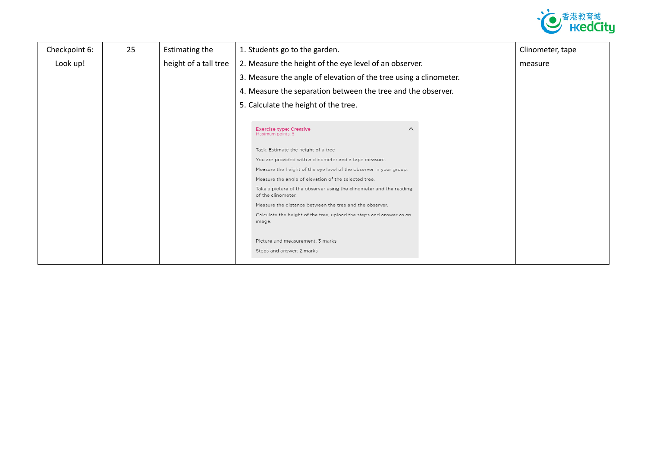

| Checkpoint 6: | 25 | <b>Estimating the</b> | 1. Students go to the garden.                                                             | Clinometer, tape |
|---------------|----|-----------------------|-------------------------------------------------------------------------------------------|------------------|
| Look up!      |    | height of a tall tree | 2. Measure the height of the eye level of an observer.                                    | measure          |
|               |    |                       | 3. Measure the angle of elevation of the tree using a clinometer.                         |                  |
|               |    |                       | 4. Measure the separation between the tree and the observer.                              |                  |
|               |    |                       | 5. Calculate the height of the tree.                                                      |                  |
|               |    |                       |                                                                                           |                  |
|               |    |                       | <b>Exercise type: Creative</b><br>$\wedge$<br>Maximum points: 5                           |                  |
|               |    |                       | Task: Estimate the height of a tree                                                       |                  |
|               |    |                       | You are provided with a clinometer and a tape measure.                                    |                  |
|               |    |                       | Measure the height of the eye level of the observer in your group.                        |                  |
|               |    |                       | Measure the angle of elevation of the selected tree.                                      |                  |
|               |    |                       | Take a picture of the observer using the clinometer and the reading<br>of the clinometer. |                  |
|               |    |                       | Measure the distance between the tree and the observer.                                   |                  |
|               |    |                       | Calculate the height of the tree, upload the steps and answer as an<br>image.             |                  |
|               |    |                       |                                                                                           |                  |
|               |    |                       | Picture and measurement: 3 marks                                                          |                  |
|               |    |                       | Steps and answer: 2 marks                                                                 |                  |
|               |    |                       |                                                                                           |                  |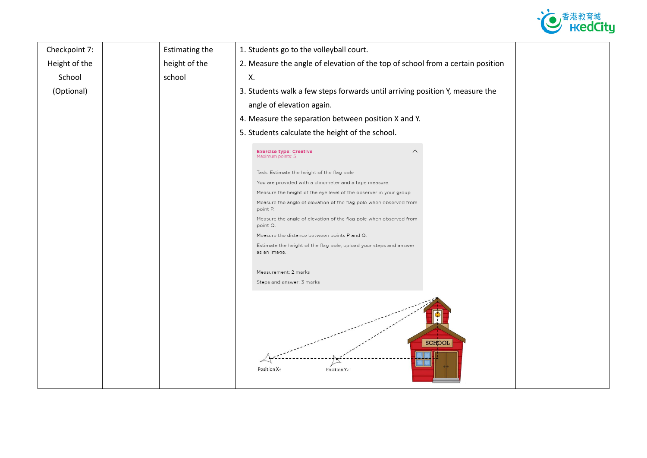

| Checkpoint 7: | <b>Estimating the</b> | 1. Students go to the volleyball court.                                            |  |
|---------------|-----------------------|------------------------------------------------------------------------------------|--|
| Height of the | height of the         | 2. Measure the angle of elevation of the top of school from a certain position     |  |
| School        | school                | Χ.                                                                                 |  |
| (Optional)    |                       | 3. Students walk a few steps forwards until arriving position Y, measure the       |  |
|               |                       | angle of elevation again.                                                          |  |
|               |                       | 4. Measure the separation between position X and Y.                                |  |
|               |                       | 5. Students calculate the height of the school.                                    |  |
|               |                       | <b>Exercise type: Creative</b><br>∧<br>Maximum points: 5                           |  |
|               |                       | Task: Estimate the height of the flag pole                                         |  |
|               |                       | You are provided with a clinometer and a tape measure.                             |  |
|               |                       | Measure the height of the eye level of the observer in your group.                 |  |
|               |                       | Measure the angle of elevation of the flag pole when observed from<br>point P.     |  |
|               |                       | Measure the angle of elevation of the flag pole when observed from<br>point Q.     |  |
|               |                       | Measure the distance between points P and Q.                                       |  |
|               |                       | Estimate the height of the flag pole, upload your steps and answer<br>as an image. |  |
|               |                       | Measurement: 2 marks                                                               |  |
|               |                       | Steps and answer: 3 marks                                                          |  |
|               |                       | <b>SCHOOL</b><br>Position X-<br>Position Y.                                        |  |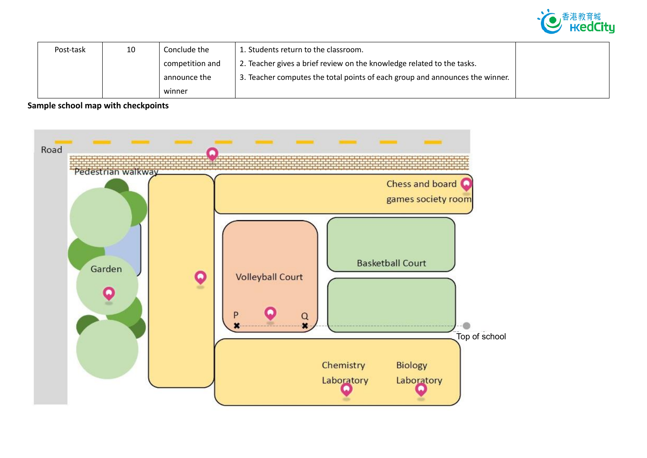

| Post-task | 10 | Conclude the    | 1. Students return to the classroom.                                         |  |
|-----------|----|-----------------|------------------------------------------------------------------------------|--|
|           |    | competition and | 2. Teacher gives a brief review on the knowledge related to the tasks.       |  |
|           |    | announce the    | 3. Teacher computes the total points of each group and announces the winner. |  |
|           |    | winner          |                                                                              |  |

**Sample school map with checkpoints**

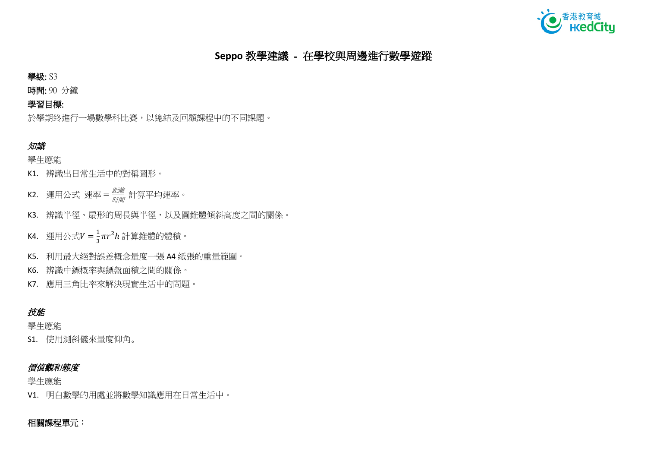

# **Seppo** 教學建議 - 在學校與周邊進行數學遊蹤

學級: S3

時間: 90 分鐘

## 學習目標:

於學期终進行一場數學科比賽,以總結及回顧課程中的不同課題。

## 知識

學生應能

- K1. 辨識出日常生活中的對稱圖形。
- K2. 運用公式 速率=*聾<sup>朧</sup>* 計算平均速率。
- K3. 辨識半徑、扇形的周長與半徑,以及圓錐體傾斜高度之間的關係。
- K4. 運用公式 $V=\frac{1}{3}$  $\frac{1}{3}\pi r^2 h$  計算錐體的體積。
- K5. 利用最大絕對誤差概念量度一張 A4 紙張的重量範圍。
- K6. 辨識中鏢概率與鏢盤面積之間的關係。
- K7. 應用三角比率來解決現實生活中的問題。

## 技能

學生應能

S1. 使用測斜儀來量度仰角。

## 價值觀和態度

學生應能

V1. 明白數學的用處並將數學知識應用在日常生活中。

## 相關課程單元: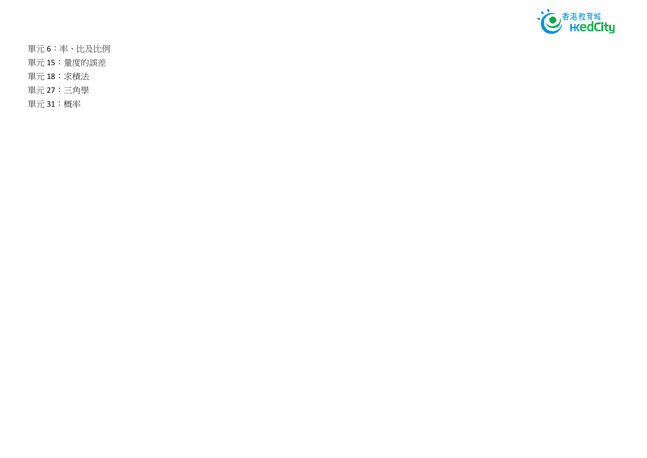

單元 6:率、比及比例

單元 15:量度的誤差

- 單元 18:求積法
- 單元 27:三角學

單元 31:概率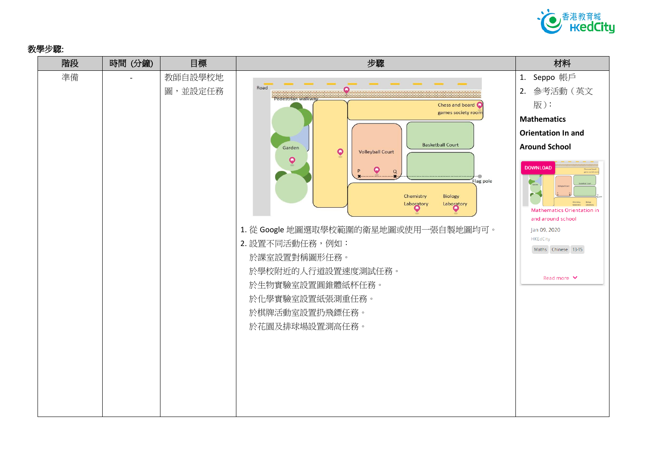

### 教學步驟:

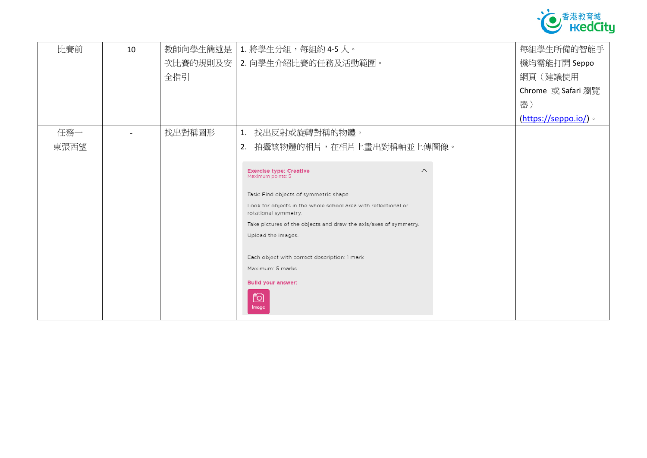

| 比賽前  | 10 | 教師向學生簡述是 | 1. 將學生分組, 每組約 4-5 人。                                                                                    | 每組學生所備的智能手                   |
|------|----|----------|---------------------------------------------------------------------------------------------------------|------------------------------|
|      |    | 次比賽的規則及安 | 2. 向學生介紹比賽的任務及活動範圍。                                                                                     | 機均需能打開 Seppo                 |
|      |    | 全指引      |                                                                                                         | 網頁(建議使用                      |
|      |    |          |                                                                                                         | Chrome 或 Safari 瀏覽           |
|      |    |          |                                                                                                         | 器)                           |
|      |    |          |                                                                                                         | $(\frac{https://seppo.io/}{$ |
| 任務一  |    | 找出對稱圖形   | 1. 找出反射或旋轉對稱的物體。                                                                                        |                              |
| 東張西望 |    |          | 拍攝該物體的相片,在相片上畫出對稱軸並上傳圖像。<br>2.                                                                          |                              |
|      |    |          |                                                                                                         |                              |
|      |    |          | $\wedge$<br><b>Exercise type: Creative</b><br>Maximum points: 5                                         |                              |
|      |    |          |                                                                                                         |                              |
|      |    |          | Task: Find objects of symmetric shape<br>Look for objects in the whole school area with reflectional or |                              |
|      |    |          | rotational symmetry.                                                                                    |                              |
|      |    |          | Take pictures of the objects and draw the axis/axes of symmetry.                                        |                              |
|      |    |          | Upload the images.                                                                                      |                              |
|      |    |          |                                                                                                         |                              |
|      |    |          | Each object with correct description: 1 mark<br>Maximum: 5 marks                                        |                              |
|      |    |          |                                                                                                         |                              |
|      |    |          | <b>Build your answer:</b>                                                                               |                              |
|      |    |          | ෦ඁ෮                                                                                                     |                              |
|      |    |          | Image                                                                                                   |                              |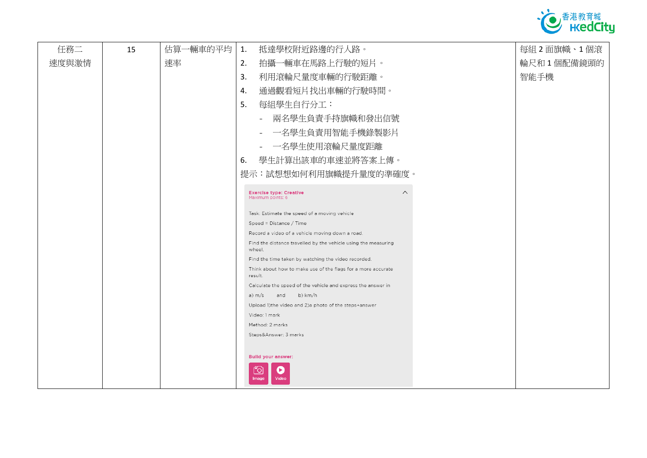

| 任務二   | 15 | 估算一輛車的平均 | 抵達學校附近路邊的行人路。                                                            | 每組2面旗幟、1個滾 |
|-------|----|----------|--------------------------------------------------------------------------|------------|
| 速度與激情 |    | 速率       | 拍攝一輛車在馬路上行駛的短片。                                                          | 輪尺和1個配備鏡頭的 |
|       |    |          | 利用滾輪尺量度車輛的行駛距離。                                                          | 智能手機       |
|       |    |          | 通過觀看短片找出車輛的行駛時間。                                                         |            |
|       |    |          | 每組學生自行分工:                                                                |            |
|       |    |          | 兩名學生負責手持旗幟和發出信號<br>$\sim$                                                |            |
|       |    |          | - 一名學生負責用智能手機錄製影片                                                        |            |
|       |    |          | - 一名學生使用滾輪尺量度距離                                                          |            |
|       |    |          | 學生計算出該車的車速並將答案上傳。                                                        |            |
|       |    |          | 提示:試想想如何利用旗幟提升量度的準確度。                                                    |            |
|       |    |          | $\wedge$<br><b>Exercise type: Creative</b>                               |            |
|       |    |          | Maximum points: 6                                                        |            |
|       |    |          | Task: Estimate the speed of a moving vehicle                             |            |
|       |    |          | Speed = Distance / Time                                                  |            |
|       |    |          | Record a video of a vehicle moving down a road.                          |            |
|       |    |          | Find the distance travelled by the vehicle using the measuring<br>wheel. |            |
|       |    |          | Find the time taken by watching the video recorded.                      |            |
|       |    |          | Think about how to make use of the flags for a more accurate<br>result.  |            |
|       |    |          | Calculate the speed of the vehicle and express the answer in             |            |
|       |    |          | b) km/h<br>a) m/s and                                                    |            |
|       |    |          | Upload 1) the video and 2) a photo of the steps+answer                   |            |
|       |    |          | Video: 1 mark                                                            |            |
|       |    |          | Method: 2 marks                                                          |            |
|       |    |          | Steps&Answer: 3 marks                                                    |            |
|       |    |          |                                                                          |            |
|       |    |          | <b>Bulld your answer:</b>                                                |            |
|       |    |          | ▶<br>"Ol<br>Video<br>Image                                               |            |
|       |    |          |                                                                          |            |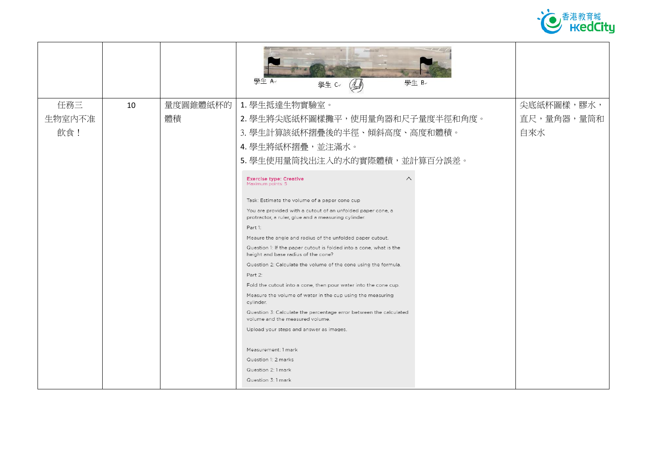

|        |    |          | 壆牛 A↓<br>學生 Be<br>學生 C<br>$\mathbb{A}$                                                                             |            |
|--------|----|----------|--------------------------------------------------------------------------------------------------------------------|------------|
| 任務三    | 10 | 量度圓錐體紙杯的 | 1. 學生抵達生物實驗室。                                                                                                      | 尖底紙杯圖樣,膠水, |
| 生物室内不准 |    | 體積       | 2. 學生將尖底紙杯圖樣攤平,使用量角器和尺子量度半徑和角度。                                                                                    | 直尺,量角器,量筒和 |
| 飲食!    |    |          | 3. 學生計算該紙杯摺疊後的半徑、傾斜高度、高度和體積。                                                                                       | 自來水        |
|        |    |          | 4. 學生將紙杯摺疊, 並注滿水。                                                                                                  |            |
|        |    |          | 5. 學生使用量筒找出注入的水的實際體積,並計算百分誤差。                                                                                      |            |
|        |    |          | $\curvearrowright$<br><b>Exercise type: Creative</b><br>Maximum points: 5                                          |            |
|        |    |          | Task: Estimate the volume of a paper cone cup                                                                      |            |
|        |    |          | You are provided with a cutout of an unfolded paper cone, a<br>protractor, a ruler, glue and a measuring cylinder. |            |
|        |    |          | Part 1:                                                                                                            |            |
|        |    |          | Meaure the angle and radius of the unfolded paper cutout.                                                          |            |
|        |    |          | Question 1: If the paper cutout is folded into a cone, what is the<br>height and base radius of the cone?          |            |
|        |    |          | Question 2: Calculate the volume of the cone using the formula.                                                    |            |
|        |    |          | Part 2:                                                                                                            |            |
|        |    |          | Fold the cutout into a cone, then pour water into the cone cup.                                                    |            |
|        |    |          | Measure the volume of water in the cup using the measuring<br>cylinder.                                            |            |
|        |    |          | Question 3: Calculate the percentage error between the calculated<br>volume and the measured volume.               |            |
|        |    |          | Upload your steps and answer as images.                                                                            |            |
|        |    |          |                                                                                                                    |            |
|        |    |          | Measurement: 1 mark<br>Question 1: 2 marks                                                                         |            |
|        |    |          | Question 2: 1 mark                                                                                                 |            |
|        |    |          | Question 3: 1 mark                                                                                                 |            |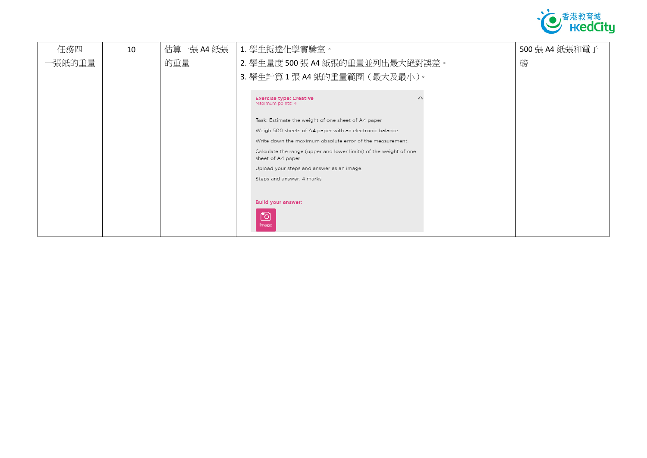

| 任務四    | 10 | 估算一張 A4 紙張 | 1. 學生抵達化學實驗室。                                                                           | 500 張 A4 紙張和電子 |
|--------|----|------------|-----------------------------------------------------------------------------------------|----------------|
| 一張紙的重量 |    | 的重量        | 2. 學生量度 500 張 A4 紙張的重量並列出最大絕對誤差。                                                        | 磅              |
|        |    |            | 3. 學生計算 1張 A4 紙的重量範圍 (最大及最小)。                                                           |                |
|        |    |            |                                                                                         |                |
|        |    |            | <b>Exercise type: Creative</b><br>Maximum points: 4                                     |                |
|        |    |            | Task: Estimate the weight of one sheet of A4 paper                                      |                |
|        |    |            | Weigh 500 sheets of A4 paper with an electronic balance.                                |                |
|        |    |            | Write down the maximum absolute error of the measurement.                               |                |
|        |    |            | Calculate the range (upper and lower limits) of the weight of one<br>sheet of A4 paper. |                |
|        |    |            | Upload your steps and answer as an image.                                               |                |
|        |    |            | Steps and answer: 4 marks                                                               |                |
|        |    |            |                                                                                         |                |
|        |    |            | <b>Bulld your answer:</b>                                                               |                |
|        |    |            | <u>fo</u>                                                                               |                |
|        |    |            | Image                                                                                   |                |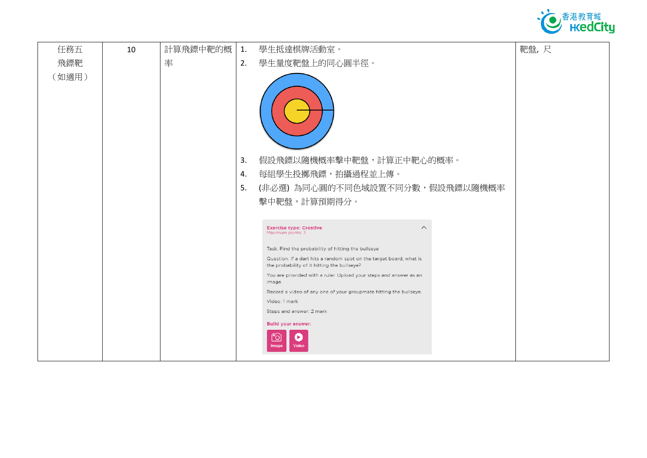

| 任務五   | 10 | 計算飛鏢中靶的概 | 1. | 學生抵達棋牌活動室。                                                                                                         | 靶盤,尺 |
|-------|----|----------|----|--------------------------------------------------------------------------------------------------------------------|------|
| 飛鏢靶   |    | 率        | 2. | 學生量度靶盤上的同心圓半徑。                                                                                                     |      |
| (如適用) |    |          |    |                                                                                                                    |      |
|       |    |          | 3. | 假設飛鏢以隨機概率擊中靶盤,計算正中靶心的概率。                                                                                           |      |
|       |    |          | 4. | 每組學生投擲飛鏢,拍攝過程並上傳。                                                                                                  |      |
|       |    |          | 5. | (非必選)為同心圓的不同色域設置不同分數,假設飛鏢以隨機概率                                                                                     |      |
|       |    |          |    | 擊中靶盤,計算預期得分。                                                                                                       |      |
|       |    |          |    |                                                                                                                    |      |
|       |    |          |    | <b>Exercise type: Creative</b><br>$\wedge$<br>Maximum points: 3                                                    |      |
|       |    |          |    | Task: Find the probability of hitting the bullseye                                                                 |      |
|       |    |          |    | Question: If a dart hits a random spot on the target board, what is<br>the probability of it hitting the bullseye? |      |
|       |    |          |    | You are provided with a ruler. Upload your steps and answer as an<br>image.                                        |      |
|       |    |          |    | Record a video of any one of your groupmate hitting the bullseye.                                                  |      |
|       |    |          |    | Video: 1 mark<br>Steps and answer: 2 mark                                                                          |      |
|       |    |          |    | <b>Build your answer:</b>                                                                                          |      |
|       |    |          |    | ГО<br>E)<br>Video                                                                                                  |      |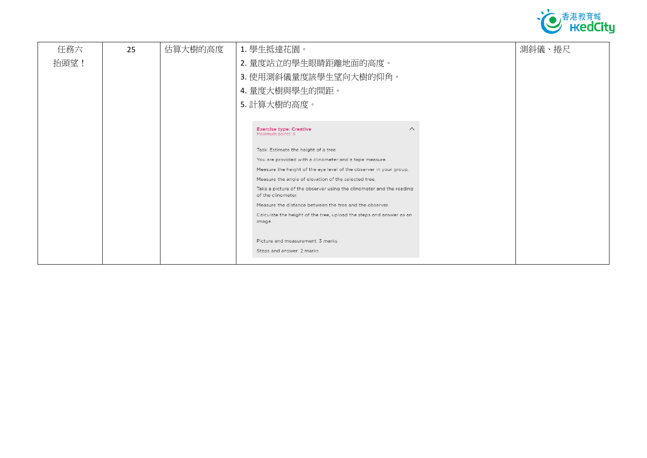

| 任務六<br>25<br>抬頭望! | 估算大樹的高度 | 1. 學生抵達花園。<br>2. 量度站立的學生眼睛距離地面的高度。<br>3. 使用測斜儀量度該學生望向大樹的仰角。                                                                                                                                                                                                                                                                                                                                                                                                                                                                                                                                              | 測斜儀、捲尺 |
|-------------------|---------|----------------------------------------------------------------------------------------------------------------------------------------------------------------------------------------------------------------------------------------------------------------------------------------------------------------------------------------------------------------------------------------------------------------------------------------------------------------------------------------------------------------------------------------------------------------------------------------------------------|--------|
|                   |         | 4. 量度大樹與學生的間距。<br>5. 計算大樹的高度。                                                                                                                                                                                                                                                                                                                                                                                                                                                                                                                                                                            |        |
|                   |         | <b>Exercise type: Creative</b><br>$\wedge$<br>Maximum points: 5<br>Task: Estimate the height of a tree<br>You are provided with a clinometer and a tape measure.<br>Measure the height of the eye level of the observer in your group.<br>Measure the angle of elevation of the selected tree.<br>Take a picture of the observer using the clinometer and the reading<br>of the clinometer.<br>Measure the distance between the tree and the observer.<br>Calculate the height of the tree, upload the steps and answer as an<br>image.<br>Picture and measurement: 3 marks<br>Steps and answer: 2 marks |        |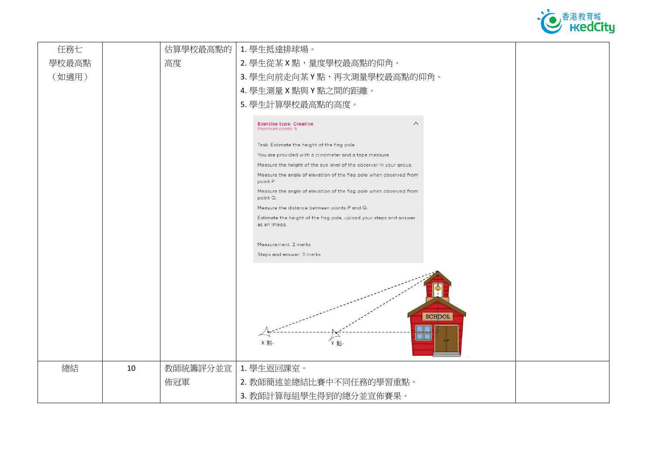

| 任務七   |    | 估算學校最高點的 | 1. 學生抵達排球場。                                                                        |
|-------|----|----------|------------------------------------------------------------------------------------|
| 學校最高點 |    | 高度       | 2. 學生從某 X 點, 量度學校最高點的仰角。                                                           |
| (如適用) |    |          | 3. 學生向前走向某 Y 點, 再次測量學校最高點的仰角。                                                      |
|       |    |          | 4. 學生測量 X 點與 Y 點之間的距離。                                                             |
|       |    |          | 5. 學生計算學校最高點的高度。                                                                   |
|       |    |          |                                                                                    |
|       |    |          | $\wedge$<br><b>Exercise type: Creative</b><br>Maximum points: 5                    |
|       |    |          | Task: Estimate the height of the flag pole                                         |
|       |    |          | You are provided with a clinometer and a tape measure.                             |
|       |    |          | Measure the height of the eye level of the observer in your group.                 |
|       |    |          | Measure the angle of elevation of the flag pole when observed from<br>point P.     |
|       |    |          | Measure the angle of elevation of the flag pole when observed from<br>point Q.     |
|       |    |          | Measure the distance between points P and Q.                                       |
|       |    |          | Estimate the height of the flag pole, upload your steps and answer<br>as an image. |
|       |    |          |                                                                                    |
|       |    |          | Measurement: 2 marks                                                               |
|       |    |          | Steps and answer: 3 marks                                                          |
|       |    |          | <b>SCHOOL</b><br>Y 貼<br>X 點·                                                       |
| 總結    | 10 | 教師統籌評分並宣 | 1. 學生返回課室。                                                                         |
|       |    | 佈冠軍      | 2. 教師簡述並總結比賽中不同任務的學習重點。                                                            |
|       |    |          | 3. 教師計算每組學生得到的總分並宣佈賽果。                                                             |